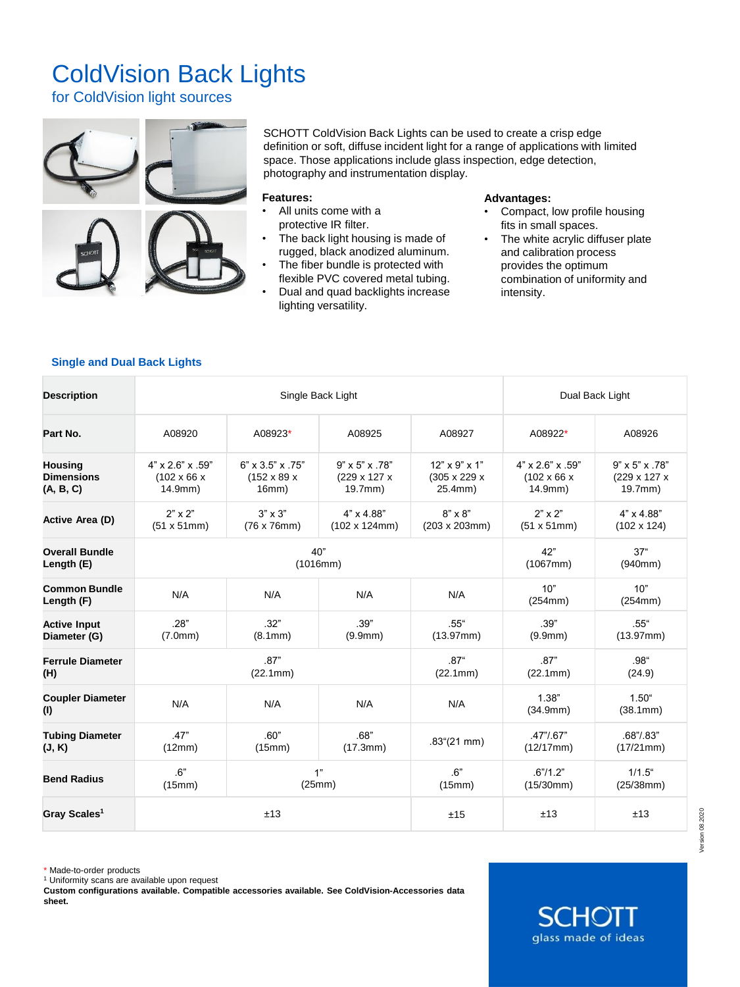## ColdVision Back Lights

for ColdVision light sources



SCHOTT ColdVision Back Lights can be used to create a crisp edge definition or soft, diffuse incident light for a range of applications with limited space. Those applications include glass inspection, edge detection, photography and instrumentation display.

## **Features:**

- All units come with a protective IR filter.
- The back light housing is made of rugged, black anodized aluminum.
- The fiber bundle is protected with flexible PVC covered metal tubing.
- Dual and quad backlights increase lighting versatility.

## **Advantages:**

- Compact, low profile housing fits in small spaces.
- The white acrylic diffuser plate and calibration process provides the optimum combination of uniformity and intensity.

## **Single and Dual Back Lights**

| <b>Description</b>                 | Single Back Light            |                              |                            |                           | Dual Back Light              |                            |
|------------------------------------|------------------------------|------------------------------|----------------------------|---------------------------|------------------------------|----------------------------|
| Part No.                           | A08920                       | A08923*                      | A08925                     | A08927                    | A08922*                      | A08926                     |
| <b>Housing</b>                     | $4" \times 2.6" \times .59"$ | $6" \times 3.5" \times .75"$ | $9" \times 5" \times .78"$ | $12" \times 9" \times 1"$ | $4" \times 2.6" \times .59"$ | $9" \times 5" \times .78"$ |
| <b>Dimensions</b>                  | $(102 \times 66 \times$      | $(152 \times 89 \times$      | (229 x 127 x               | (305 x 229 x              | $(102 \times 66 \times$      | (229 x 127 x               |
| (A, B, C)                          | 14.9mm)                      | 16mm)                        | 19.7mm)                    | 25.4mm)                   | 14.9mm)                      | $19.7$ mm $)$              |
| Active Area (D)                    | $2" \times 2"$               | $3" \times 3"$               | $4" \times 4.88"$          | $8" \times 8"$            | $2" \times 2"$               | $4" \times 4.88"$          |
|                                    | (51 x 51mm)                  | $(76 \times 76)$ mm)         | $(102 \times 124$ mm $)$   | $(203 \times 203$ mm $)$  | (51 x 51mm)                  | $(102 \times 124)$         |
| <b>Overall Bundle</b>              | 40"                          |                              |                            |                           | 42"                          | 37 <sup>4</sup>            |
| Length (E)                         | (1016mm)                     |                              |                            |                           | (1067mm)                     | (940mm)                    |
| <b>Common Bundle</b><br>Length (F) | N/A                          | N/A                          | N/A                        | N/A                       | 10"<br>(254mm)               | 10"<br>(254mm)             |
| <b>Active Input</b>                | .28"                         | .32"                         | .39"                       | $.55$ "                   | .39"                         | $.55$ "                    |
| Diameter (G)                       | (7.0mm)                      | (8.1mm)                      | (9.9mm)                    | (13.97mm)                 | (9.9mm)                      | (13.97mm)                  |
| <b>Ferrule Diameter</b>            | .87"                         |                              |                            | .87 <sup>4</sup>          | .87"                         | $.98^{\circ}$              |
| (H)                                | (22.1mm)                     |                              |                            | (22.1mm)                  | (22.1mm)                     | (24.9)                     |
| <b>Coupler Diameter</b><br>(1)     | N/A                          | N/A                          | N/A                        | N/A                       | 1.38"<br>(34.9mm)            | $1.50$ "<br>(38.1mm)       |
| <b>Tubing Diameter</b>             | .47"                         | .60"                         | .68"                       | $.83^{\circ}(21$ mm)      | $.47$ " $/0.67$ "            | $.68$ "/ $.83$ "           |
| (J, K)                             | (12mm)                       | (15mm)                       | (17.3mm)                   |                           | (12/17mm)                    | (17/21mm)                  |
| <b>Bend Radius</b>                 | .6"                          | 1"                           |                            | 6"                        | .6" / 1.2"                   | $1/1.5$ "                  |
|                                    | (15mm)                       | (25mm)                       |                            | (15mm)                    | (15/30mm)                    | (25/38mm)                  |
| Gray Scales <sup>1</sup>           | ±13                          |                              |                            | ±15                       | ±13                          | ±13                        |

\* Made-to-order products

<sup>1</sup> Uniformity scans are available upon request

**Custom configurations available. Compatible accessories available. See ColdVision-Accessories data sheet.**

**SCHO** glass made of ideas